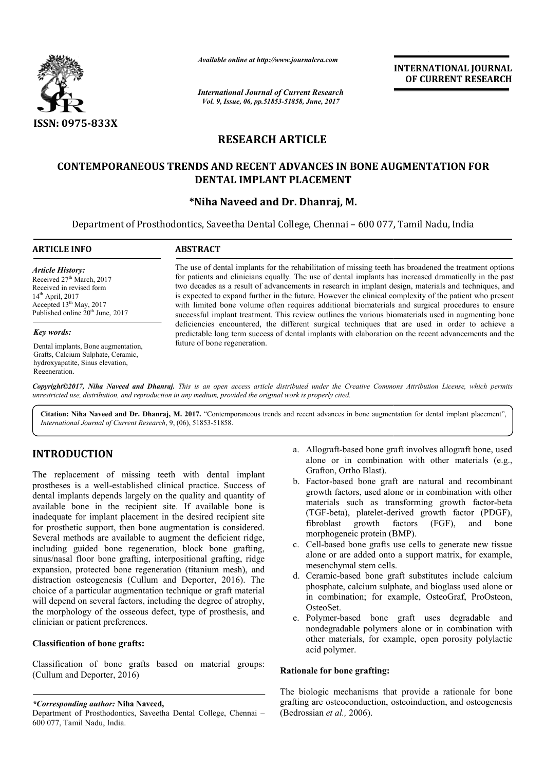

*Available online at http://www.journalcra.com*

*International Journal of Current Research Vol. 9, Issue, 06, pp.51853-51858, June, 2017*

**INTERNATIONAL JOURNAL OF CURRENT RESEARCH** 

# **RESEARCH ARTICLE**

# **CONTEMPORANEOUS TRENDS AND RECENT ADVANCES IN BONE AUGMENTATION FOR TRENDS AND RECENT DENTAL IMPLANT PLACEMENT**

# **\*Niha Naveed and Dr. Dhanraj Niha Dhanraj, M.**

Department of Prosthodontics, Saveetha Dental College, Chennai – 600 077, Tamil Nadu, India

#### **ARTICLE INFO ABSTRACT** The use of dental implants for the rehabilitation of missing teeth has broadened the treatment options for patients and clinicians equally. The use of dental implants has increased dramatically in the past two decades as a result of advancements in research in implant design, materials and techniques, and is expected to expand further in the future. However the clinical complexity of the patient who present with limited bone volume often requires additional biomaterials and surgical procedures to ensure successful implant treatment. This review outlines the various biomaterials used in augmenting bone deficiencies encountered, the different surgical techniques that are used in order to achieve a deficiencies encountered, the different surgical techniques that are used in order to achieve a predictable long term success of dental implants with elaboration on the recent advancements and the future of bone regeneration. *Article History:* Received 27<sup>th</sup> March, 2017 Received in revised form 14th April, 2017 Accepted 13<sup>th</sup> May, 2017 Published online 20<sup>th</sup> June, 2017 *Key words:* Dental implants, Bone augmentation, Grafts, Calcium Sulphate, Ceramic, hydroxyapatite, Sinus elevation, two decades as a result of advancements in research in implant design, materials and techniques, and<br>is expected to expand further in the future. However the clinical complexity of the patient who present<br>with limited bone

*Copyright©2017, Niha Naveed and Dhanraj. This is an open access article distributed under the Creative Commons Att is Attribution License, which permits unrestricted use, distribution, and reproduction in any medium, provided the original work is properly cited.*

Citation: Niha Naveed and Dr. Dhanraj, M. 2017. "Contemporaneous trends and recent advances in bone augmentation for dental implant placement", *International Journal of Current Research*, 9, (06), 51853 51853-51858.

# **INTRODUCTION**

Regeneration.

The replacement of missing teeth with dental implant prostheses is a well-established clinical practice. Success of dental implants depends largely on the quality and quantity of available bone in the recipient site. If available bone is inadequate for implant placement in the desired recipient site for prosthetic support, then bone augmentation is considered. Several methods are available to augment the deficient ridge, including guided bone regeneration, block bone grafting, sinus/nasal floor bone grafting, interpositional grafting, ridge expansion, protected bone regeneration (titanium mesh), and distraction osteogenesis (Cullum and Deporter, 2016). The choice of a particular augmentation technique or graft material will depend on several factors, including the degree of atrophy, the morphology of the osseous defect, type of prosthesis, and clinician or patient preferences. will depend on several factors, including the degree of atrophy,<br>the morphology of the osseous defect, type of prosthesis, and<br>clinician or patient preferences.<br>Classification of bone grafts:<br>Classification of bone grafts theses is a well-established clinical practice. Success of<br>al implants depends largely on the quality and quantity of<br>lable bone in the recipient site. If available bone is<br>equate for implant placement in the desired recip

# **Classification of bone grafts:**

(Cullum and Deporter, 2016)

*\*Corresponding author:* **Niha Naveed,**

- a. Allograft-based bone graft involves allograft bone, used alone or in combination with other materials (e.g., Grafton, Ortho Blast).
- b. Factor-based bone graft are natural and recombinant growth factors, used alone or in combination with other materials such as transforming growth factor-beta (TGF-beta), platelet-derived growth factor (PDGF), fibroblast growth factors (FGF), and bone fibroblast growth factors (FGF), and b morphogeneic protein (BMP). Allograft-based bone graft involves allograft bone, used<br>alone or in combination with other materials (e.g.,<br>Grafton, Ortho Blast).<br>Factor-based bone graft are natural and recombinant<br>growth factors, used alone or in combi
- c. Cell-based bone grafts use cells to generate new tissue alone or are added onto a support matrix, for example, mesenchymal stem cells. Cell-based bone grafts use cells to generate new tissue<br>alone or are added onto a support matrix, for example,<br>mesenchymal stem cells.<br>Ceramic-based bone graft substitutes include calcium<br>phosphate, calcium sulphate, and b
- d. Ceramic-based bone graft substitutes include calcium phosphate, calcium sulphate, and bio in combination; for example, OsteoGraf, ProOsteon, OsteoSet.
- e. Polymer-based bone graft uses degradable and nondegradable polymers alone or in combination with other materials, for example, open porosity polylactic acid polymer. in combination; for example, OsteoGraf, ProOsteon,<br>OsteoSet.<br>Polymer-based bone graft uses degradable and<br>nondegradable polymers alone or in combination with<br>other materials, for example, open porosity polylactic<br>acid poly

# **Rationale for bone grafting:**

The biologic mechanisms that provide a rationale for bone grafting are osteoconduction, osteoinduction, and osteogenesis (Bedrossian *et al.,* 2006).

Department of Prosthodontics, Saveetha Dental College, Chennai – 600 077, Tamil Nadu, India.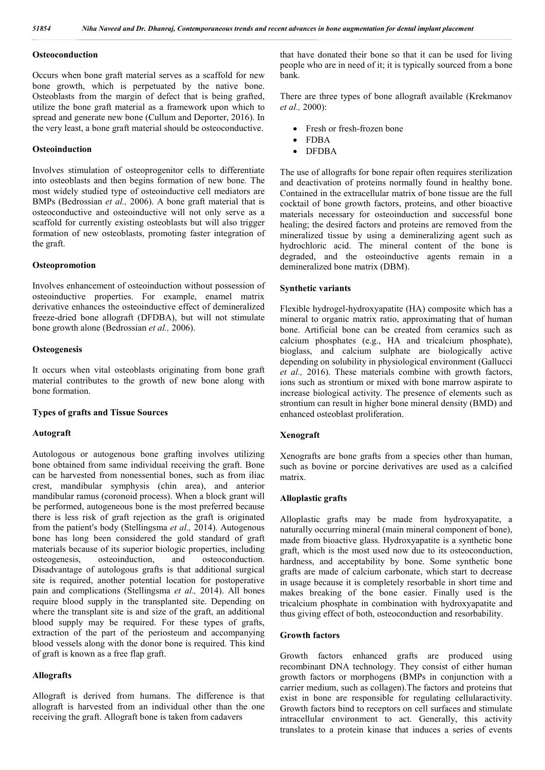## **Osteoconduction**

Occurs when bone graft material serves as a scaffold for new bone growth, which is perpetuated by the native bone. Osteoblasts from the margin of defect that is being grafted, utilize the bone graft material as a framework upon which to spread and generate new bone (Cullum and Deporter, 2016). In the very least, a bone graft material should be osteoconductive.

### **Osteoinduction**

Involves stimulation of osteoprogenitor cells to differentiate into osteoblasts and then begins formation of new bone. The most widely studied type of osteoinductive cell mediators are BMPs (Bedrossian *et al.,* 2006). A bone graft material that is osteoconductive and osteoinductive will not only serve as a scaffold for currently existing osteoblasts but will also trigger formation of new osteoblasts, promoting faster integration of the graft.

#### **Osteopromotion**

Involves enhancement of osteoinduction without possession of osteoinductive properties. For example, enamel matrix derivative enhances the osteoinductive effect of demineralized freeze-dried bone allograft (DFDBA), but will not stimulate bone growth alone (Bedrossian *et al.,* 2006).

#### **Osteogenesis**

It occurs when vital osteoblasts originating from bone graft material contributes to the growth of new bone along with bone formation.

#### **Types of grafts and Tissue Sources**

#### **Autograft**

Autologous or autogenous bone grafting involves utilizing bone obtained from same individual receiving the graft. Bone can be harvested from nonessential bones, such as from iliac crest, mandibular symphysis (chin area), and anterior mandibular ramus (coronoid process). When a block grant will be performed, autogeneous bone is the most preferred because there is less risk of graft rejection as the graft is originated from the patient′s body (Stellingsma *et al.,* 2014). Autogenous bone has long been considered the gold standard of graft materials because of its superior biologic properties, including osteogenesis, osteoinduction, and osteoconduction. Disadvantage of autologous grafts is that additional surgical site is required, another potential location for postoperative pain and complications (Stellingsma *et al.,* 2014). All bones require blood supply in the transplanted site. Depending on where the transplant site is and size of the graft, an additional blood supply may be required. For these types of grafts, extraction of the part of the periosteum and accompanying blood vessels along with the donor bone is required. This kind of graft is known as a free flap graft.

### **Allografts**

Allograft is derived from humans. The difference is that allograft is harvested from an individual other than the one receiving the graft. Allograft bone is taken from cadavers

that have donated their bone so that it can be used for living people who are in need of it; it is typically sourced from a bone bank.

There are three types of bone allograft available (Krekmanov *et al.,* 2000):

- Fresh or fresh-frozen bone
- FDBA
- DFDBA

The use of allografts for bone repair often requires sterilization and deactivation of proteins normally found in healthy bone. Contained in the extracellular matrix of bone tissue are the full cocktail of bone growth factors, proteins, and other bioactive materials necessary for osteoinduction and successful bone healing; the desired factors and proteins are removed from the mineralized tissue by using a demineralizing agent such as hydrochloric acid. The mineral content of the bone is degraded, and the osteoinductive agents remain in a demineralized bone matrix (DBM).

#### **Synthetic variants**

Flexible hydrogel-hydroxyapatite (HA) composite which has a mineral to organic matrix ratio, approximating that of human bone. Artificial bone can be created from ceramics such as calcium phosphates (e.g., HA and tricalcium phosphate), bioglass, and calcium sulphate are biologically active depending on solubility in physiological environment (Gallucci *et al.,* 2016). These materials combine with growth factors, ions such as strontium or mixed with bone marrow aspirate to increase biological activity. The presence of elements such as strontium can result in higher bone mineral density (BMD) and enhanced osteoblast proliferation.

#### **Xenograft**

Xenografts are bone grafts from a species other than human, such as bovine or porcine derivatives are used as a calcified matrix.

### **Alloplastic grafts**

Alloplastic grafts may be made from hydroxyapatite, a naturally occurring mineral (main mineral component of bone), made from bioactive glass. Hydroxyapatite is a synthetic bone graft, which is the most used now due to its osteoconduction, hardness, and acceptability by bone. Some synthetic bone grafts are made of calcium carbonate, which start to decrease in usage because it is completely resorbable in short time and makes breaking of the bone easier. Finally used is the tricalcium phosphate in combination with hydroxyapatite and thus giving effect of both, osteoconduction and resorbability.

#### **Growth factors**

Growth factors enhanced grafts are produced using recombinant DNA technology. They consist of either human growth factors or morphogens (BMPs in conjunction with a carrier medium, such as collagen).The factors and proteins that exist in bone are responsible for regulating cellularactivity. Growth factors bind to receptors on cell surfaces and stimulate intracellular environment to act. Generally, this activity translates to a protein kinase that induces a series of events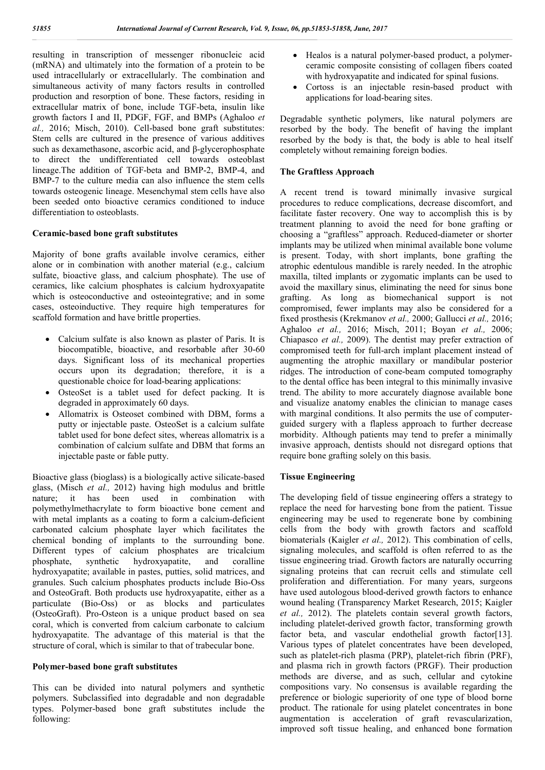resulting in transcription of messenger ribonucleic acid (mRNA) and ultimately into the formation of a protein to be used intracellularly or extracellularly. The combination and simultaneous activity of many factors results in controlled production and resorption of bone. These factors, residing in extracellular matrix of bone, include TGF-beta, insulin like growth factors I and II, PDGF, FGF, and BMPs (Aghaloo *et al.,* 2016; Misch, 2010). Cell-based bone graft substitutes: Stem cells are cultured in the presence of various additives such as dexamethasone, ascorbic acid, and β-glycerophosphate to direct the undifferentiated cell towards osteoblast lineage.The addition of TGF-beta and BMP-2, BMP-4, and BMP-7 to the culture media can also influence the stem cells towards osteogenic lineage. Mesenchymal stem cells have also been seeded onto bioactive ceramics conditioned to induce differentiation to osteoblasts.

# **Ceramic-based bone graft substitutes**

Majority of bone grafts available involve ceramics, either alone or in combination with another material (e.g., calcium sulfate, bioactive glass, and calcium phosphate). The use of ceramics, like calcium phosphates is calcium hydroxyapatite which is osteoconductive and osteointegrative; and in some cases, osteoinductive. They require high temperatures for scaffold formation and have brittle properties.

- Calcium sulfate is also known as plaster of Paris. It is biocompatible, bioactive, and resorbable after 30-60 days. Significant loss of its mechanical properties occurs upon its degradation; therefore, it is a questionable choice for load-bearing applications:
- OsteoSet is a tablet used for defect packing. It is degraded in approximately 60 days.
- Allomatrix is Osteoset combined with DBM, forms a putty or injectable paste. OsteoSet is a calcium sulfate tablet used for bone defect sites, whereas allomatrix is a combination of calcium sulfate and DBM that forms an injectable paste or fable putty.

Bioactive glass (bioglass) is a biologically active silicate-based glass, (Misch *et al.,* 2012) having high modulus and brittle nature; it has been used in combination with polymethylmethacrylate to form bioactive bone cement and with metal implants as a coating to form a calcium-deficient carbonated calcium phosphate layer which facilitates the chemical bonding of implants to the surrounding bone. Different types of calcium phosphates are tricalcium phosphate, synthetic hydroxyapatite, and coralline hydroxyapatite; available in pastes, putties, solid matrices, and granules. Such calcium phosphates products include Bio-Oss and OsteoGraft. Both products use hydroxyapatite, either as a particulate (Bio-Oss) or as blocks and particulates (OsteoGraft). Pro-Osteon is a unique product based on sea coral, which is converted from calcium carbonate to calcium hydroxyapatite. The advantage of this material is that the structure of coral, which is similar to that of trabecular bone.

# **Polymer-based bone graft substitutes**

This can be divided into natural polymers and synthetic polymers. Subclassified into degradable and non degradable types. Polymer-based bone graft substitutes include the following:

- Healos is a natural polymer-based product, a polymerceramic composite consisting of collagen fibers coated with hydroxyapatite and indicated for spinal fusions.
- Cortoss is an injectable resin-based product with applications for load-bearing sites.

Degradable synthetic polymers, like natural polymers are resorbed by the body. The benefit of having the implant resorbed by the body is that, the body is able to heal itself completely without remaining foreign bodies.

## **The Graftless Approach**

A recent trend is toward minimally invasive surgical procedures to reduce complications, decrease discomfort, and facilitate faster recovery. One way to accomplish this is by treatment planning to avoid the need for bone grafting or choosing a "graftless" approach. Reduced-diameter or shorter implants may be utilized when minimal available bone volume is present. Today, with short implants, bone grafting the atrophic edentulous mandible is rarely needed. In the atrophic maxilla, tilted implants or zygomatic implants can be used to avoid the maxillary sinus, eliminating the need for sinus bone grafting. As long as biomechanical support is not compromised, fewer implants may also be considered for a fixed prosthesis (Krekmanov *et al.,* 2000; Gallucci *et al.,* 2016; Aghaloo *et al.,* 2016; Misch, 2011; Boyan *et al.,* 2006; Chiapasco *et al.,* 2009). The dentist may prefer extraction of compromised teeth for full-arch implant placement instead of augmenting the atrophic maxillary or mandibular posterior ridges. The introduction of cone-beam computed tomography to the dental office has been integral to this minimally invasive trend. The ability to more accurately diagnose available bone and visualize anatomy enables the clinician to manage cases with marginal conditions. It also permits the use of computerguided surgery with a flapless approach to further decrease morbidity. Although patients may tend to prefer a minimally invasive approach, dentists should not disregard options that require bone grafting solely on this basis.

# **Tissue Engineering**

The developing field of tissue engineering offers a strategy to replace the need for harvesting bone from the patient. Tissue engineering may be used to regenerate bone by combining cells from the body with growth factors and scaffold biomaterials (Kaigler *et al.,* 2012). This combination of cells, signaling molecules, and scaffold is often referred to as the tissue engineering triad. Growth factors are naturally occurring signaling proteins that can recruit cells and stimulate cell proliferation and differentiation. For many years, surgeons have used autologous blood-derived growth factors to enhance wound healing (Transparency Market Research, 2015; Kaigler *et al.,* 2012). The platelets contain several growth factors, including platelet-derived growth factor, transforming growth factor beta, and vascular endothelial growth factor[13]. Various types of platelet concentrates have been developed, such as platelet-rich plasma (PRP), platelet-rich fibrin (PRF), and plasma rich in growth factors (PRGF). Their production methods are diverse, and as such, cellular and cytokine compositions vary. No consensus is available regarding the preference or biologic superiority of one type of blood borne product. The rationale for using platelet concentrates in bone augmentation is acceleration of graft revascularization, improved soft tissue healing, and enhanced bone formation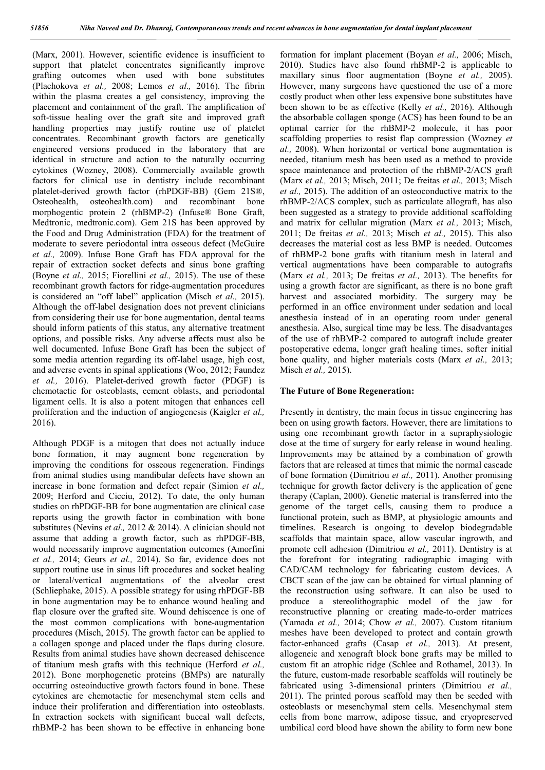(Marx, 2001). However, scientific evidence is insufficient to support that platelet concentrates significantly improve grafting outcomes when used with bone substitutes (Plachokova *et al.,* 2008; Lemos *et al.,* 2016). The fibrin within the plasma creates a gel consistency, improving the placement and containment of the graft. The amplification of soft-tissue healing over the graft site and improved graft handling properties may justify routine use of platelet concentrates. Recombinant growth factors are genetically engineered versions produced in the laboratory that are identical in structure and action to the naturally occurring cytokines (Wozney, 2008). Commercially available growth factors for clinical use in dentistry include recombinant platelet-derived growth factor (rhPDGF-BB) (Gem 21S®, Osteohealth, osteohealth.com) and recombinant bone morphogentic protein 2 (rhBMP-2) (Infuse® Bone Graft, Medtronic, medtronic.com). Gem 21S has been approved by the Food and Drug Administration (FDA) for the treatment of moderate to severe periodontal intra osseous defect (McGuire *et al.,* 2009). Infuse Bone Graft has FDA approval for the repair of extraction socket defects and sinus bone grafting (Boyne *et al.,* 2015; Fiorellini *et al.,* 2015). The use of these recombinant growth factors for ridge-augmentation procedures is considered an "off label" application (Misch *et al.,* 2015). Although the off-label designation does not prevent clinicians from considering their use for bone augmentation, dental teams should inform patients of this status, any alternative treatment options, and possible risks. Any adverse affects must also be well documented. Infuse Bone Graft has been the subject of some media attention regarding its off-label usage, high cost, and adverse events in spinal applications (Woo, 2012; Faundez *et al.,* 2016). Platelet-derived growth factor (PDGF) is chemotactic for osteoblasts, cement oblasts, and periodontal ligament cells. It is also a potent mitogen that enhances cell proliferation and the induction of angiogenesis (Kaigler *et al.,*  2016).

Although PDGF is a mitogen that does not actually induce bone formation, it may augment bone regeneration by improving the conditions for osseous regeneration. Findings from animal studies using mandibular defects have shown an increase in bone formation and defect repair (Simion *et al.,*  2009; Herford and Cicciu, 2012). To date, the only human studies on rhPDGF-BB for bone augmentation are clinical case reports using the growth factor in combination with bone substitutes (Nevins *et al.,* 2012 & 2014). A clinician should not assume that adding a growth factor, such as rhPDGF-BB, would necessarily improve augmentation outcomes (Amorfini *et al.,* 2014; Geurs *et al.,* 2014). So far, evidence does not support routine use in sinus lift procedures and socket healing or lateral/vertical augmentations of the alveolar crest (Schliephake, 2015). A possible strategy for using rhPDGF-BB in bone augmentation may be to enhance wound healing and flap closure over the grafted site. Wound dehiscence is one of the most common complications with bone-augmentation procedures (Misch, 2015). The growth factor can be applied to a collagen sponge and placed under the flaps during closure. Results from animal studies have shown decreased dehiscence of titanium mesh grafts with this technique (Herford *et al.,*  2012). Bone morphogenetic proteins (BMPs) are naturally occurring osteoinductive growth factors found in bone. These cytokines are chemotactic for mesenchymal stem cells and induce their proliferation and differentiation into osteoblasts. In extraction sockets with significant buccal wall defects, rhBMP-2 has been shown to be effective in enhancing bone

formation for implant placement (Boyan *et al.,* 2006; Misch, 2010). Studies have also found rhBMP-2 is applicable to maxillary sinus floor augmentation (Boyne *et al.,* 2005). However, many surgeons have questioned the use of a more costly product when other less expensive bone substitutes have been shown to be as effective (Kelly *et al.,* 2016). Although the absorbable collagen sponge (ACS) has been found to be an optimal carrier for the rhBMP-2 molecule, it has poor scaffolding properties to resist flap compression (Wozney *et al.,* 2008). When horizontal or vertical bone augmentation is needed, titanium mesh has been used as a method to provide space maintenance and protection of the rhBMP-2/ACS graft (Marx *et al.,* 2013; Misch, 2011; De freitas *et al.,* 2013; Misch *et al.,* 2015). The addition of an osteoconductive matrix to the rhBMP-2/ACS complex, such as particulate allograft, has also been suggested as a strategy to provide additional scaffolding and matrix for cellular migration (Marx *et al.,* 2013; Misch, 2011; De freitas *et al.,* 2013; Misch *et al.,* 2015). This also decreases the material cost as less BMP is needed. Outcomes of rhBMP-2 bone grafts with titanium mesh in lateral and vertical augmentations have been comparable to autografts (Marx *et al.,* 2013; De freitas *et al.,* 2013). The benefits for using a growth factor are significant, as there is no bone graft harvest and associated morbidity. The surgery may be performed in an office environment under sedation and local anesthesia instead of in an operating room under general anesthesia. Also, surgical time may be less. The disadvantages of the use of rhBMP-2 compared to autograft include greater postoperative edema, longer graft healing times, softer initial bone quality, and higher materials costs (Marx *et al.,* 2013; Misch *et al.,* 2015).

#### **The Future of Bone Regeneration:**

Presently in dentistry, the main focus in tissue engineering has been on using growth factors. However, there are limitations to using one recombinant growth factor in a supraphysiologic dose at the time of surgery for early release in wound healing. Improvements may be attained by a combination of growth factors that are released at times that mimic the normal cascade of bone formation (Dimitriou *et al.,* 2011). Another promising technique for growth factor delivery is the application of gene therapy (Caplan, 2000). Genetic material is transferred into the genome of the target cells, causing them to produce a functional protein, such as BMP, at physiologic amounts and timelines. Research is ongoing to develop biodegradable scaffolds that maintain space, allow vascular ingrowth, and promote cell adhesion (Dimitriou *et al.,* 2011). Dentistry is at the forefront for integrating radiographic imaging with CAD/CAM technology for fabricating custom devices. A CBCT scan of the jaw can be obtained for virtual planning of the reconstruction using software. It can also be used to produce a stereolithographic model of the jaw for reconstructive planning or creating made-to-order matrices (Yamada *et al.,* 2014; Chow *et al.,* 2007). Custom titanium meshes have been developed to protect and contain growth factor-enhanced grafts (Casap *et al.,* 2013). At present, allogeneic and xenograft block bone grafts may be milled to custom fit an atrophic ridge (Schlee and Rothamel, 2013). In the future, custom-made resorbable scaffolds will routinely be fabricated using 3-dimensional printers (Dimitriou *et al.,*  2011). The printed porous scaffold may then be seeded with osteoblasts or mesenchymal stem cells. Mesenchymal stem cells from bone marrow, adipose tissue, and cryopreserved umbilical cord blood have shown the ability to form new bone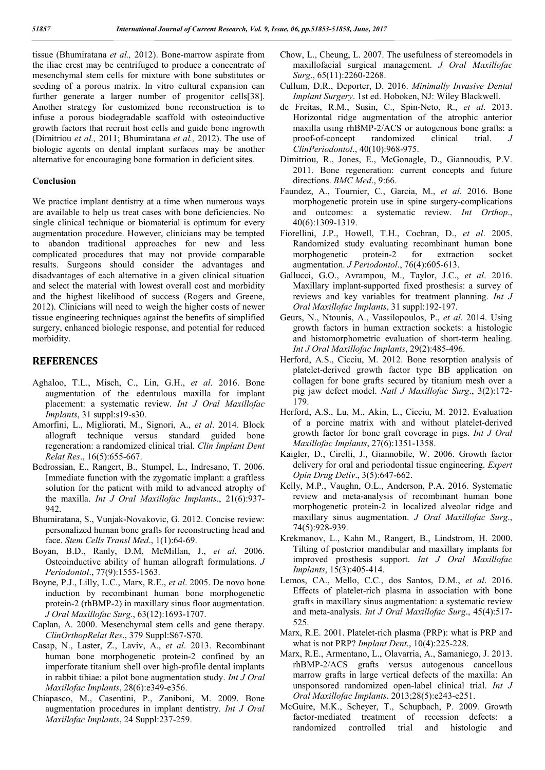tissue (Bhumiratana *et al.,* 2012). Bone-marrow aspirate from the iliac crest may be centrifuged to produce a concentrate of mesenchymal stem cells for mixture with bone substitutes or seeding of a porous matrix. In vitro cultural expansion can further generate a larger number of progenitor cells[38]. Another strategy for customized bone reconstruction is to infuse a porous biodegradable scaffold with osteoinductive growth factors that recruit host cells and guide bone ingrowth (Dimitriou *et al.,* 2011; Bhumiratana *et al.,* 2012). The use of biologic agents on dental implant surfaces may be another alternative for encouraging bone formation in deficient sites.

#### **Conclusion**

We practice implant dentistry at a time when numerous ways are available to help us treat cases with bone deficiencies. No single clinical technique or biomaterial is optimum for every augmentation procedure. However, clinicians may be tempted to abandon traditional approaches for new and less complicated procedures that may not provide comparable results. Surgeons should consider the advantages and disadvantages of each alternative in a given clinical situation and select the material with lowest overall cost and morbidity and the highest likelihood of success (Rogers and Greene, 2012). Clinicians will need to weigh the higher costs of newer tissue engineering techniques against the benefits of simplified surgery, enhanced biologic response, and potential for reduced morbidity.

# **REFERENCES**

- Aghaloo, T.L., Misch, C., Lin, G.H., *et al*. 2016. Bone augmentation of the edentulous maxilla for implant placement: a systematic review. *Int J Oral Maxillofac Implants*, 31 suppl:s19-s30.
- Amorfini, L., Migliorati, M., Signori, A., *et al*. 2014. Block allograft technique versus standard guided bone regeneration: a randomized clinical trial. *Clin Implant Dent Relat Res*., 16(5):655-667.
- Bedrossian, E., Rangert, B., Stumpel, L., Indresano, T. 2006. Immediate function with the zygomatic implant: a graftless solution for the patient with mild to advanced atrophy of the maxilla. *Int J Oral Maxillofac Implants*., 21(6):937- 942.
- Bhumiratana, S., Vunjak-Novakovic, G. 2012. Concise review: personalized human bone grafts for reconstructing head and face. *Stem Cells Transl Med*., 1(1):64-69.
- Boyan, B.D., Ranly, D.M, McMillan, J., *et al*. 2006. Osteoinductive ability of human allograft formulations. *J Periodontol*., 77(9):1555-1563.
- Boyne, P.J., Lilly, L.C., Marx, R.E., *et al*. 2005. De novo bone induction by recombinant human bone morphogenetic protein-2 (rhBMP-2) in maxillary sinus floor augmentation. *J Oral Maxillofac Surg*., 63(12):1693-1707.
- Caplan, A. 2000. Mesenchymal stem cells and gene therapy. *ClinOrthopRelat Res*., 379 Suppl:S67-S70.
- Casap, N., Laster, Z., Laviv, A., *et al*. 2013. Recombinant human bone morphogenetic protein-2 confined by an imperforate titanium shell over high-profile dental implants in rabbit tibiae: a pilot bone augmentation study. *Int J Oral Maxillofac Implants*, 28(6):e349-e356.
- Chiapasco, M., Casentini, P., Zaniboni, M. 2009. Bone augmentation procedures in implant dentistry. *Int J Oral Maxillofac Implants*, 24 Suppl:237-259.
- Chow, L., Cheung, L. 2007. The usefulness of stereomodels in maxillofacial surgical management. *J Oral Maxillofac Surg*., 65(11):2260-2268.
- Cullum, D.R., Deporter, D. 2016. *Minimally Invasive Dental Implant Surgery*. 1st ed. Hoboken, NJ: Wiley Blackwell.
- de Freitas, R.M., Susin, C., Spin-Neto, R., *et al*. 2013. Horizontal ridge augmentation of the atrophic anterior maxilla using rhBMP-2/ACS or autogenous bone grafts: a proof-of-concept randomized clinical trial. *ClinPeriodontol*., 40(10):968-975.
- Dimitriou, R., Jones, E., McGonagle, D., Giannoudis, P.V. 2011. Bone regeneration: current concepts and future directions. *BMC Med*., 9:66.
- Faundez, A., Tournier, C., Garcia, M., *et al*. 2016. Bone morphogenetic protein use in spine surgery-complications and outcomes: a systematic review. *Int Orthop*., 40(6):1309-1319.
- Fiorellini, J.P., Howell, T.H., Cochran, D., *et al*. 2005. Randomized study evaluating recombinant human bone morphogenetic protein-2 for extraction socket augmentation. *J Periodontol*., 76(4):605-613.
- Gallucci, G.O., Avrampou, M., Taylor, J.C., *et al*. 2016. Maxillary implant-supported fixed prosthesis: a survey of reviews and key variables for treatment planning. *Int J Oral Maxillofac Implants*, 31 suppl:192-197.
- Geurs, N., Ntounis, A., Vassilopoulos, P., *et al*. 2014. Using growth factors in human extraction sockets: a histologic and histomorphometric evaluation of short-term healing. *Int J Oral Maxillofac Implants*, 29(2):485-496.
- Herford, A.S., Cicciu, M. 2012. Bone resorption analysis of platelet-derived growth factor type BB application on collagen for bone grafts secured by titanium mesh over a pig jaw defect model. *Natl J Maxillofac Surg*., 3(2):172- 179.
- Herford, A.S., Lu, M., Akin, L., Cicciu, M. 2012. Evaluation of a porcine matrix with and without platelet-derived growth factor for bone graft coverage in pigs. *Int J Oral Maxillofac Implants*, 27(6):1351-1358.
- Kaigler, D., Cirelli, J., Giannobile, W. 2006. Growth factor delivery for oral and periodontal tissue engineering. *Expert Opin Drug Deliv*., 3(5):647-662.
- Kelly, M.P., Vaughn, O.L., Anderson, P.A. 2016. Systematic review and meta-analysis of recombinant human bone morphogenetic protein-2 in localized alveolar ridge and maxillary sinus augmentation. *J Oral Maxillofac Surg*., 74(5):928-939.
- Krekmanov, L., Kahn M., Rangert, B., Lindstrom, H. 2000. Tilting of posterior mandibular and maxillary implants for improved prosthesis support. *Int J Oral Maxillofac Implants*, 15(3):405-414.
- Lemos, CA., Mello, C.C., dos Santos, D.M., *et al*. 2016. Effects of platelet-rich plasma in association with bone grafts in maxillary sinus augmentation: a systematic review and meta-analysis. *Int J Oral Maxillofac Surg*., 45(4):517- 525.
- Marx, R.E. 2001. Platelet-rich plasma (PRP): what is PRP and what is not PRP? *Implant Dent*., 10(4):225-228.
- Marx, R.E., Armentano, L., Olavarria, A., Samaniego, J. 2013. rhBMP-2/ACS grafts versus autogenous cancellous marrow grafts in large vertical defects of the maxilla: An unsponsored randomized open-label clinical trial. *Int J Oral Maxillofac Implants*. 2013;28(5):e243-e251.
- McGuire, M.K., Scheyer, T., Schupbach, P. 2009. Growth factor-mediated treatment of recession defects: a randomized controlled trial and histologic and